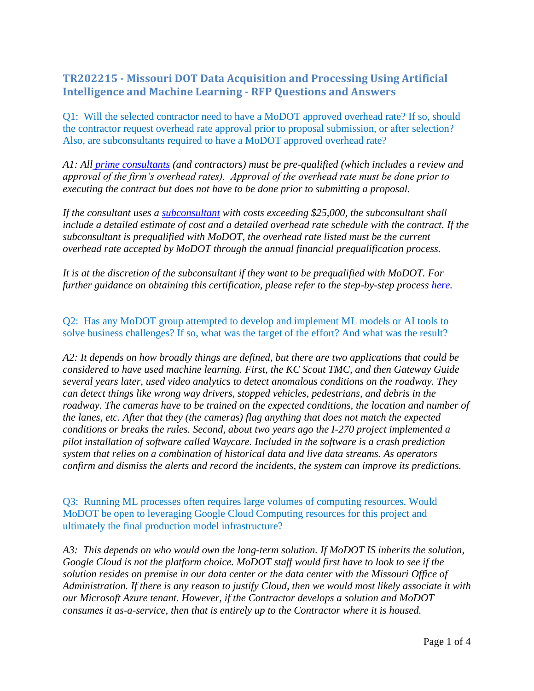## **TR202215 - Missouri DOT Data Acquisition and Processing Using Artificial Intelligence and Machine Learning - RFP Questions and Answers**

Q1: Will the selected contractor need to have a MoDOT approved overhead rate? If so, should the contractor request overhead rate approval prior to proposal submission, or after selection? Also, are subconsultants required to have a MoDOT approved overhead rate?

*A1: All [prime consultants](http://epg.modot.org/index.php/Category:134_Engineering_Professional_Services#134.1.3_Consultant_Qualification) (and contractors) must be pre-qualified (which includes a review and approval of the firm's overhead rates). Approval of the overhead rate must be done prior to executing the contract but does not have to be done prior to submitting a proposal.* 

*If the consultant uses a [subconsultant](http://epg.modot.org/index.php/Category:134_Engineering_Professional_Services#134.3.5_Subconsultants) with costs exceeding \$25,000, the subconsultant shall include a detailed estimate of cost and a detailed overhead rate schedule with the contract. If the subconsultant is prequalified with MoDOT, the overhead rate listed must be the current overhead rate accepted by MoDOT through the annual financial prequalification process.*

*It is at the discretion of the subconsultant if they want to be prequalified with MoDOT. For further guidance on obtaining this certification, please refer to the step-by-step process [here.](https://www.modot.org/consultant-prequalification)*

Q2: Has any MoDOT group attempted to develop and implement ML models or AI tools to solve business challenges? If so, what was the target of the effort? And what was the result?

*A2: It depends on how broadly things are defined, but there are two applications that could be considered to have used machine learning. First, the KC Scout TMC, and then Gateway Guide several years later, used video analytics to detect anomalous conditions on the roadway. They can detect things like wrong way drivers, stopped vehicles, pedestrians, and debris in the roadway. The cameras have to be trained on the expected conditions, the location and number of the lanes, etc. After that they (the cameras) flag anything that does not match the expected conditions or breaks the rules. Second, about two years ago the I-270 project implemented a pilot installation of software called Waycare. Included in the software is a crash prediction system that relies on a combination of historical data and live data streams. As operators confirm and dismiss the alerts and record the incidents, the system can improve its predictions.*

Q3: Running ML processes often requires large volumes of computing resources. Would MoDOT be open to leveraging Google Cloud Computing resources for this project and ultimately the final production model infrastructure?

*A3: This depends on who would own the long-term solution. If MoDOT IS inherits the solution, Google Cloud is not the platform choice. MoDOT staff would first have to look to see if the solution resides on premise in our data center or the data center with the Missouri Office of Administration. If there is any reason to justify Cloud, then we would most likely associate it with our Microsoft Azure tenant. However, if the Contractor develops a solution and MoDOT consumes it as-a-service, then that is entirely up to the Contractor where it is housed.*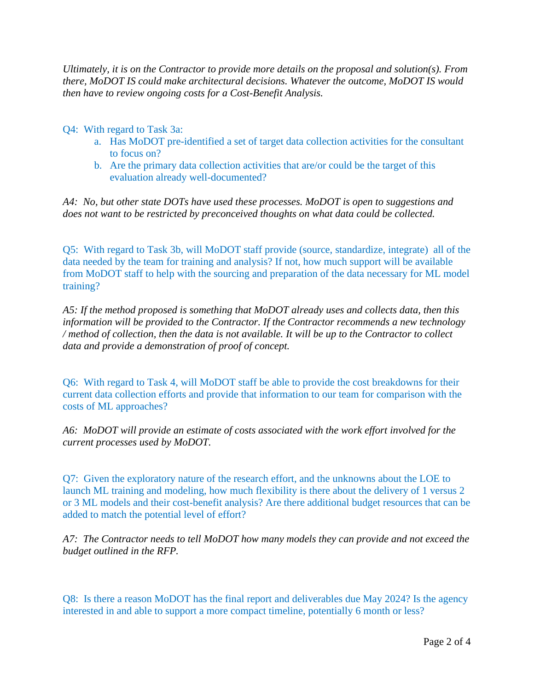*Ultimately, it is on the Contractor to provide more details on the proposal and solution(s). From there, MoDOT IS could make architectural decisions. Whatever the outcome, MoDOT IS would then have to review ongoing costs for a Cost-Benefit Analysis.*

- Q4: With regard to Task 3a:
	- a. Has MoDOT pre-identified a set of target data collection activities for the consultant to focus on?
	- b. Are the primary data collection activities that are/or could be the target of this evaluation already well-documented?

*A4: No, but other state DOTs have used these processes. MoDOT is open to suggestions and does not want to be restricted by preconceived thoughts on what data could be collected.*

Q5: With regard to Task 3b, will MoDOT staff provide (source, standardize, integrate) all of the data needed by the team for training and analysis? If not, how much support will be available from MoDOT staff to help with the sourcing and preparation of the data necessary for ML model training?

*A5: If the method proposed is something that MoDOT already uses and collects data, then this information will be provided to the Contractor. If the Contractor recommends a new technology / method of collection, then the data is not available. It will be up to the Contractor to collect data and provide a demonstration of proof of concept.*

Q6: With regard to Task 4, will MoDOT staff be able to provide the cost breakdowns for their current data collection efforts and provide that information to our team for comparison with the costs of ML approaches?

*A6: MoDOT will provide an estimate of costs associated with the work effort involved for the current processes used by MoDOT.* 

Q7: Given the exploratory nature of the research effort, and the unknowns about the LOE to launch ML training and modeling, how much flexibility is there about the delivery of 1 versus 2 or 3 ML models and their cost-benefit analysis? Are there additional budget resources that can be added to match the potential level of effort?

*A7: The Contractor needs to tell MoDOT how many models they can provide and not exceed the budget outlined in the RFP.*

Q8: Is there a reason MoDOT has the final report and deliverables due May 2024? Is the agency interested in and able to support a more compact timeline, potentially 6 month or less?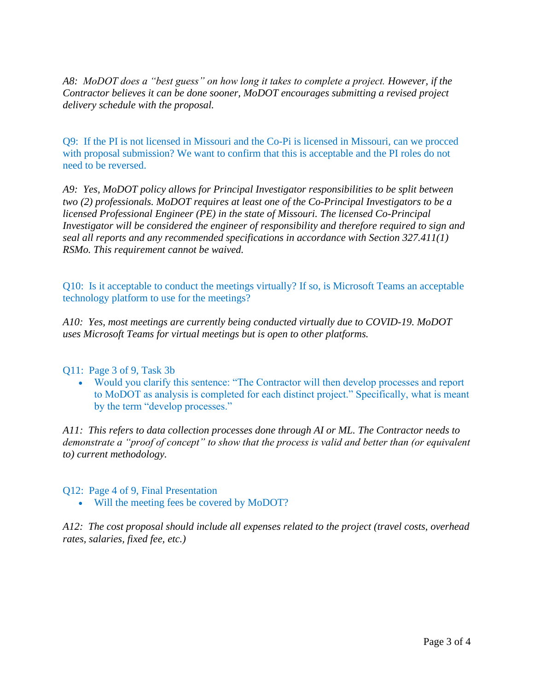*A8: MoDOT does a "best guess" on how long it takes to complete a project. However, if the Contractor believes it can be done sooner, MoDOT encourages submitting a revised project delivery schedule with the proposal.*

Q9: If the PI is not licensed in Missouri and the Co-Pi is licensed in Missouri, can we procced with proposal submission? We want to confirm that this is acceptable and the PI roles do not need to be reversed.

*A9: Yes, MoDOT policy allows for Principal Investigator responsibilities to be split between two (2) professionals. MoDOT requires at least one of the Co-Principal Investigators to be a licensed Professional Engineer (PE) in the state of Missouri. The licensed Co-Principal Investigator will be considered the engineer of responsibility and therefore required to sign and seal all reports and any recommended specifications in accordance with Section 327.411(1) RSMo. This requirement cannot be waived.* 

Q10: Is it acceptable to conduct the meetings virtually? If so, is Microsoft Teams an acceptable technology platform to use for the meetings?

*A10: Yes, most meetings are currently being conducted virtually due to COVID-19. MoDOT uses Microsoft Teams for virtual meetings but is open to other platforms.*

Q11: Page 3 of 9, Task 3b

• Would you clarify this sentence: "The Contractor will then develop processes and report to MoDOT as analysis is completed for each distinct project." Specifically, what is meant by the term "develop processes."

*A11: This refers to data collection processes done through AI or ML. The Contractor needs to demonstrate a "proof of concept" to show that the process is valid and better than (or equivalent to) current methodology.* 

Q12: Page 4 of 9, Final Presentation

• Will the meeting fees be covered by MoDOT?

*A12: The cost proposal should include all expenses related to the project (travel costs, overhead rates, salaries, fixed fee, etc.)*